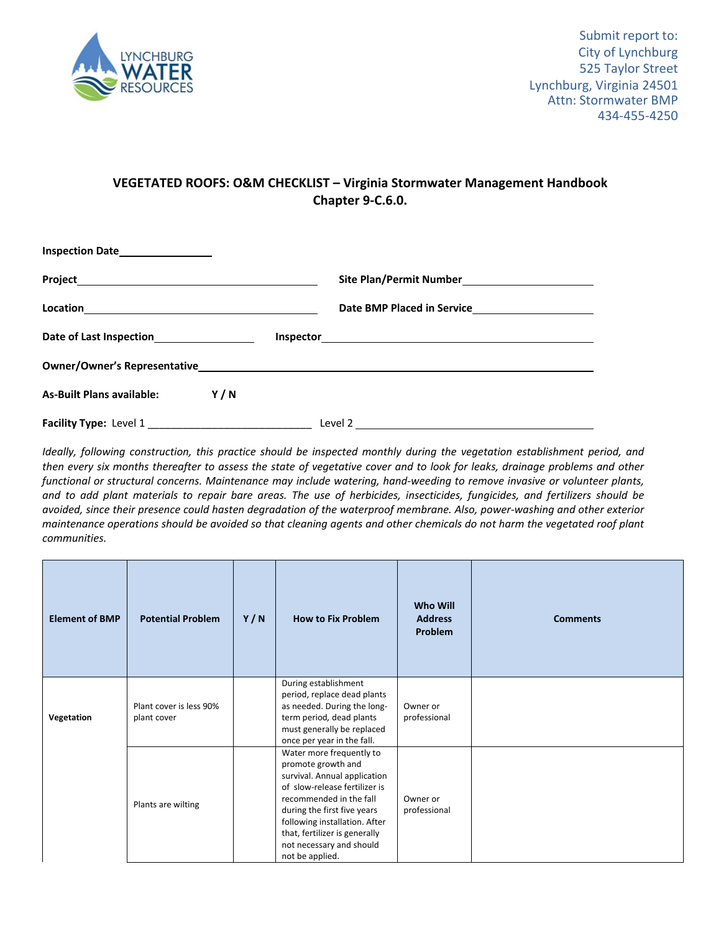

## **VEGETATED ROOFS: O&M CHECKLIST – Virginia Stormwater Management Handbook Chapter 9‐C.6.0.**

| Inspection Date_________________          |                         |  |
|-------------------------------------------|-------------------------|--|
|                                           |                         |  |
|                                           |                         |  |
| Date of Last Inspection__________________ |                         |  |
|                                           |                         |  |
| As-Built Plans available: Y/N             |                         |  |
|                                           | Level 2 $\qquad \qquad$ |  |

Ideally, following construction, this practice should be inspected monthly during the vegetation establishment period, and then every six months thereafter to assess the state of vegetative cover and to look for leaks, drainage problems and other functional or structural concerns. Maintenance may include watering, hand-weeding to remove invasive or volunteer plants, and to add plant materials to repair bare areas. The use of herbicides, insecticides, fungicides, and fertilizers should be avoided, since their presence could hasten degradation of the waterproof membrane. Also, power-washing and other exterior maintenance operations should be avoided so that cleaning agents and other chemicals do not harm the vegetated roof plant *communities.*

| <b>Element of BMP</b> | <b>Potential Problem</b>               | Y/N | <b>How to Fix Problem</b>                                                                                                                                                                                                                                                                  | <b>Who Will</b><br><b>Address</b><br><b>Problem</b> | <b>Comments</b> |
|-----------------------|----------------------------------------|-----|--------------------------------------------------------------------------------------------------------------------------------------------------------------------------------------------------------------------------------------------------------------------------------------------|-----------------------------------------------------|-----------------|
| Vegetation            | Plant cover is less 90%<br>plant cover |     | During establishment<br>period, replace dead plants<br>as needed. During the long-<br>term period, dead plants<br>must generally be replaced<br>once per year in the fall.                                                                                                                 | Owner or<br>professional                            |                 |
|                       | Plants are wilting                     |     | Water more frequently to<br>promote growth and<br>survival. Annual application<br>of slow-release fertilizer is<br>recommended in the fall<br>during the first five years<br>following installation. After<br>that, fertilizer is generally<br>not necessary and should<br>not be applied. | Owner or<br>professional                            |                 |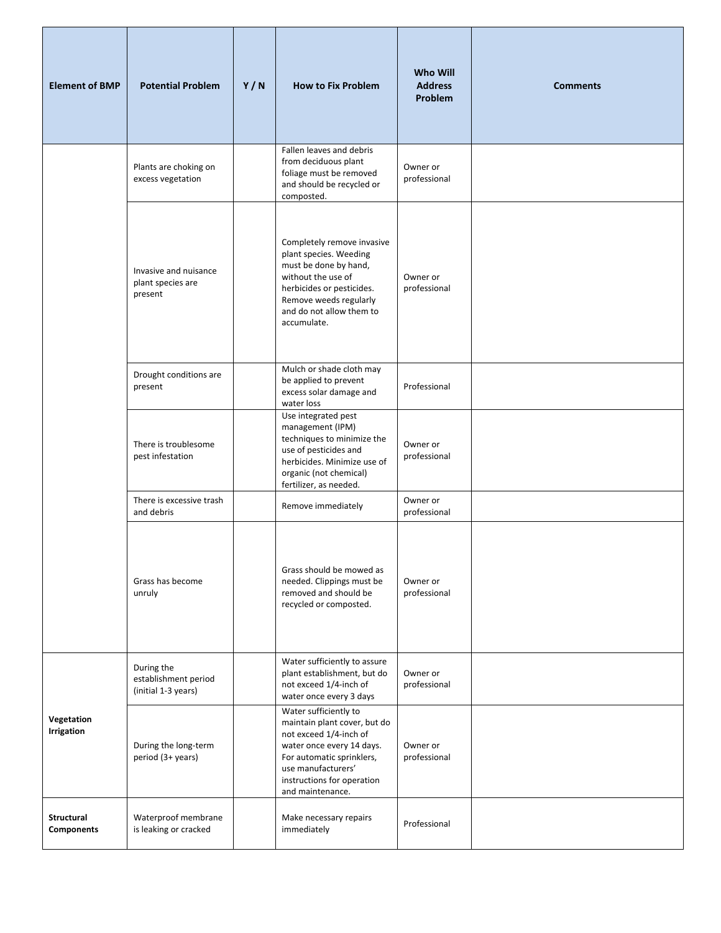| <b>Element of BMP</b>           | <b>Potential Problem</b>                                  | Y/N | <b>How to Fix Problem</b>                                                                                                                                                                                         | <b>Who Will</b><br><b>Address</b><br>Problem | <b>Comments</b> |
|---------------------------------|-----------------------------------------------------------|-----|-------------------------------------------------------------------------------------------------------------------------------------------------------------------------------------------------------------------|----------------------------------------------|-----------------|
|                                 | Plants are choking on<br>excess vegetation                |     | Fallen leaves and debris<br>from deciduous plant<br>foliage must be removed<br>and should be recycled or<br>composted.                                                                                            | Owner or<br>professional                     |                 |
|                                 | Invasive and nuisance<br>plant species are<br>present     |     | Completely remove invasive<br>plant species. Weeding<br>must be done by hand,<br>without the use of<br>herbicides or pesticides.<br>Remove weeds regularly<br>and do not allow them to<br>accumulate.             | Owner or<br>professional                     |                 |
|                                 | Drought conditions are<br>present                         |     | Mulch or shade cloth may<br>be applied to prevent<br>excess solar damage and<br>water loss                                                                                                                        | Professional                                 |                 |
|                                 | There is troublesome<br>pest infestation                  |     | Use integrated pest<br>management (IPM)<br>techniques to minimize the<br>use of pesticides and<br>herbicides. Minimize use of<br>organic (not chemical)<br>fertilizer, as needed.                                 | Owner or<br>professional                     |                 |
|                                 | There is excessive trash<br>and debris                    |     | Remove immediately                                                                                                                                                                                                | Owner or<br>professional                     |                 |
|                                 | Grass has become<br>unruly                                |     | Grass should be mowed as<br>needed. Clippings must be<br>removed and should be<br>recycled or composted.                                                                                                          | Owner or<br>professional                     |                 |
| Vegetation<br><b>Irrigation</b> | During the<br>establishment period<br>(initial 1-3 years) |     | Water sufficiently to assure<br>plant establishment, but do<br>not exceed 1/4-inch of<br>water once every 3 days                                                                                                  | Owner or<br>professional                     |                 |
|                                 | During the long-term<br>period (3+ years)                 |     | Water sufficiently to<br>maintain plant cover, but do<br>not exceed 1/4-inch of<br>water once every 14 days.<br>For automatic sprinklers,<br>use manufacturers'<br>instructions for operation<br>and maintenance. | Owner or<br>professional                     |                 |
| <b>Structural</b><br>Components | Waterproof membrane<br>is leaking or cracked              |     | Make necessary repairs<br>immediately                                                                                                                                                                             | Professional                                 |                 |